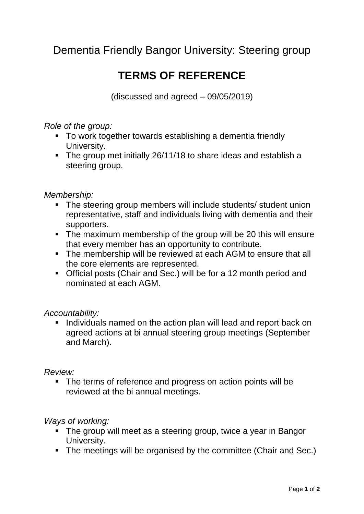Dementia Friendly Bangor University: Steering group

# **TERMS OF REFERENCE**

(discussed and agreed – 09/05/2019)

*Role of the group:*

- To work together towards establishing a dementia friendly University.
- The group met initially 26/11/18 to share ideas and establish a steering group.

### *Membership:*

- The steering group members will include students/ student union representative, staff and individuals living with dementia and their supporters.
- The maximum membership of the group will be 20 this will ensure that every member has an opportunity to contribute.
- The membership will be reviewed at each AGM to ensure that all the core elements are represented.
- Official posts (Chair and Sec.) will be for a 12 month period and nominated at each AGM.

## *Accountability:*

I Individuals named on the action plan will lead and report back on agreed actions at bi annual steering group meetings (September and March).

#### *Review:*

• The terms of reference and progress on action points will be reviewed at the bi annual meetings.

## *Ways of working:*

- The group will meet as a steering group, twice a year in Bangor University.
- The meetings will be organised by the committee (Chair and Sec.)